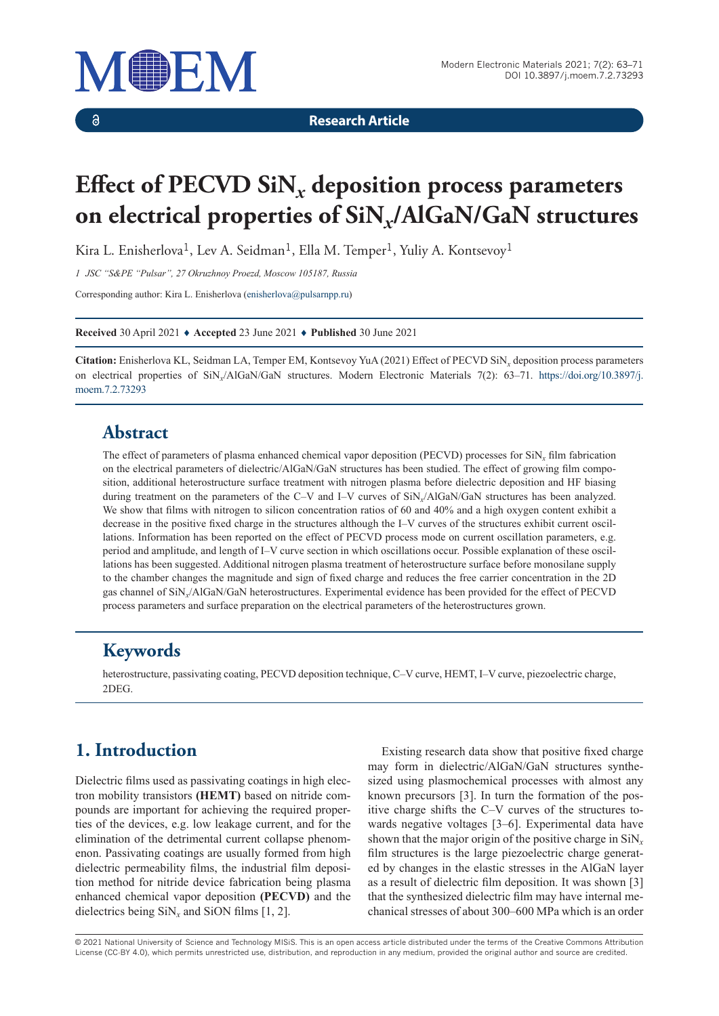

 $\delta$ 

**Research Article**

# **Effect of PECVD SiN***x* **deposition process parameters on electrical properties of SiN***x***/AlGaN/GaN structures**

Kira L. Enisherlova<sup>1</sup>, Lev A. Seidman<sup>1</sup>, Ella M. Temper<sup>1</sup>, Yuliy A. Kontsevoy<sup>1</sup>

*1 JSC "S&PE "Pulsar", 27 Okruzhnoy Proezd, Moscow 105187, Russia*

Corresponding author: Kira L. Enisherlova ([enisherlova@pulsarnpp.ru\)](mailto:enisherlova@pulsarnpp.ru)

**Received** 30 April 2021 ♦ **Accepted** 23 June 2021 ♦ **Published** 30 June 2021

**Citation:** Enisherlova KL, Seidman LA, Temper EM, Kontsevoy YuA (2021) Effect of PECVD SiN*x* deposition process parameters on electrical properties of SiN*x*/AlGaN/GaN structures. Modern Electronic Materials 7(2): 63–71. [https://doi.org/10.3897/j.](https://doi.org/10.3897/j.moem.7.2.73293) [moem.7.2.73293](https://doi.org/10.3897/j.moem.7.2.73293)

#### **Abstract**

The effect of parameters of plasma enhanced chemical vapor deposition (PECVD) processes for SiN*x* film fabrication on the electrical parameters of dielectric/АlGaN/GaN structures has been studied. The effect of growing film composition, additional heterostructure surface treatment with nitrogen plasma before dielectric deposition and HF biasing during treatment on the parameters of the С–V and I–V curves of SiN*x*/АlGaN/GaN structures has been analyzed. We show that films with nitrogen to silicon concentration ratios of 60 and 40% and a high oxygen content exhibit a decrease in the positive fixed charge in the structures although the I–V curves of the structures exhibit current oscillations. Information has been reported on the effect of PECVD process mode on current oscillation parameters, e.g. period and amplitude, and length of I–V curve section in which oscillations occur. Possible explanation of these oscillations has been suggested. Additional nitrogen plasma treatment of heterostructure surface before monosilane supply to the chamber changes the magnitude and sign of fixed charge and reduces the free carrier concentration in the 2D gas channel of SiN*x*/АlGaN/GaN heterostructures. Experimental evidence has been provided for the effect of PECVD process parameters and surface preparation on the electrical parameters of the heterostructures grown.

### **Keywords**

heterostructure, passivating coating, PECVD deposition technique, С–V curve, HEMT, I–V curve, piezoelectric charge, 2DEG.

## **1. Introduction**

Dielectric films used as passivating coatings in high electron mobility transistors **(HEMT)** based on nitride compounds are important for achieving the required properties of the devices, e.g. low leakage current, and for the elimination of the detrimental current collapse phenomenon. Passivating coatings are usually formed from high dielectric permeability films, the industrial film deposition method for nitride device fabrication being plasma enhanced chemical vapor deposition **(PECVD)** and the dielectrics being  $\text{SiN}_x$  and  $\text{SiON}$  films [1, 2].

Existing research data show that positive fixed charge may form in dielectric/AlGaN/GaN structures synthesized using plasmochemical processes with almost any known precursors [3]. In turn the formation of the positive charge shifts the C–V curves of the structures towards negative voltages [3–6]. Experimental data have shown that the major origin of the positive charge in SiN*<sup>x</sup>* film structures is the large piezoelectric charge generated by changes in the elastic stresses in the AlGaN layer as a result of dielectric film deposition. It was shown [3] that the synthesized dielectric film may have internal mechanical stresses of about 300–600 MPa which is an order

© 2021 National University of Science and Technology MISiS*.* This is an open access article distributed under the terms of the Creative Commons Attribution License (CC-BY 4.0), which permits unrestricted use, distribution, and reproduction in any medium, provided the original author and source are credited.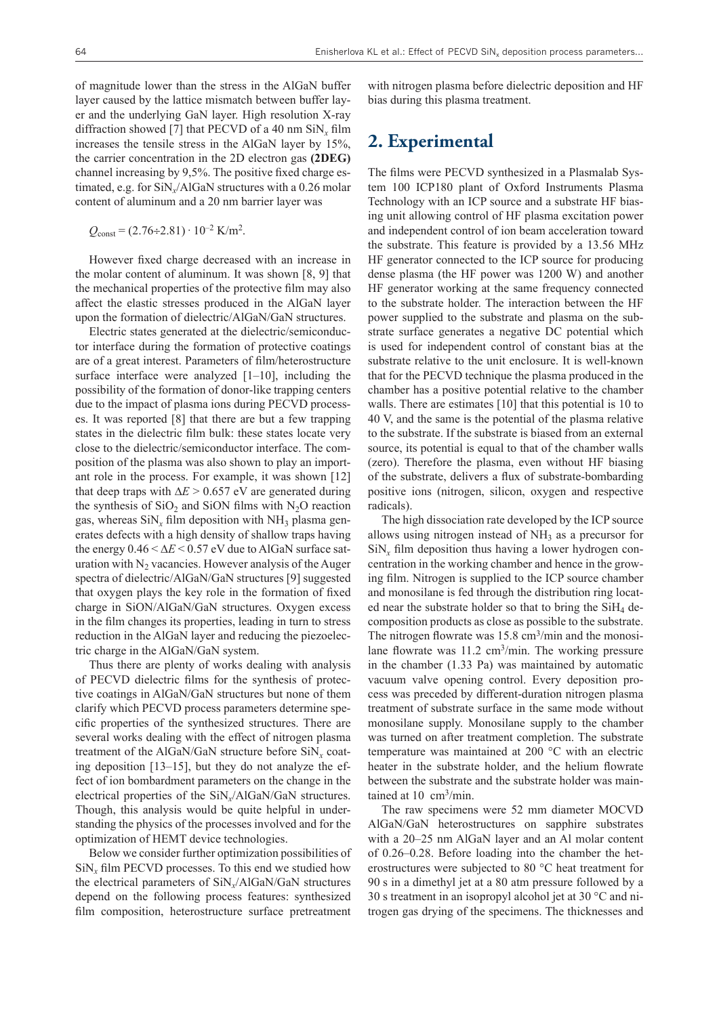of magnitude lower than the stress in the AlGaN buffer layer caused by the lattice mismatch between buffer layer and the underlying GaN layer. High resolution X-ray diffraction showed [7] that PECVD of a 40 nm SiN*x* film increases the tensile stress in the AlGaN layer by 15%, the carrier concentration in the 2D electron gas **(2DEG)** channel increasing by 9,5%. The positive fixed charge estimated, e.g. for SiN*х*/AlGaN structures with a 0.26 molar content of aluminum and a 20 nm barrier layer was

 $Q_{\text{const}} = (2.76 \div 2.81) \cdot 10^{-2} \text{ K/m}^2$ .

However fixed charge decreased with an increase in the molar content of aluminum. It was shown [8, 9] that the mechanical properties of the protective film may also affect the elastic stresses produced in the AlGaN layer upon the formation of dielectric/AlGaN/GaN structures.

Electric states generated at the dielectric/semiconductor interface during the formation of protective coatings are of a great interest. Parameters of film/heterostructure surface interface were analyzed  $[1-10]$ , including the possibility of the formation of donor-like trapping centers due to the impact of plasma ions during PECVD processes. It was reported [8] that there are but a few trapping states in the dielectric film bulk: these states locate very close to the dielectric/semiconductor interface. The composition of the plasma was also shown to play an important role in the process. For example, it was shown [12] that deep traps with  $\Delta E > 0.657$  eV are generated during the synthesis of  $SiO<sub>2</sub>$  and  $SiON$  films with N<sub>2</sub>O reaction gas, whereas  $\sin x$  film deposition with NH<sub>3</sub> plasma generates defects with a high density of shallow traps having the energy  $0.46 \le \Delta E \le 0.57$  eV due to AlGaN surface saturation with  $N<sub>2</sub>$  vacancies. However analysis of the Auger spectra of dielectric/AlGaN/GaN structures [9] suggested that oxygen plays the key role in the formation of fixed charge in SiОN/AlGaN/GaN structures. Oxygen excess in the film changes its properties, leading in turn to stress reduction in the AlGaN layer and reducing the piezoelectric charge in the AlGaN/GaN system.

Thus there are plenty of works dealing with analysis of PECVD dielectric films for the synthesis of protective coatings in AlGaN/GaN structures but none of them clarify which PECVD process parameters determine specific properties of the synthesized structures. There are several works dealing with the effect of nitrogen plasma treatment of the AlGaN/GaN structure before SiN*x* coating deposition [13–15], but they do not analyze the effect of ion bombardment parameters on the change in the electrical properties of the SiN*x*/AlGaN/GaN structures. Though, this analysis would be quite helpful in understanding the physics of the processes involved and for the optimization of HEMT device technologies.

Below we consider further optimization possibilities of  $\sin x$  film PECVD processes. To this end we studied how the electrical parameters of SiN*x*/АlGaN/GaN structures depend on the following process features: synthesized film composition, heterostructure surface pretreatment

with nitrogen plasma before dielectric deposition and HF bias during this plasma treatment.

#### **2. Experimental**

The films were PECVD synthesized in a Plasmalab System 100 ICP180 plant of Oxford Instruments Plasma Technology with an ICP source and a substrate HF biasing unit allowing control of HF plasma excitation power and independent control of ion beam acceleration toward the substrate. This feature is provided by a 13.56 MHz HF generator connected to the ICP source for producing dense plasma (the HF power was 1200 W) and another HF generator working at the same frequency connected to the substrate holder. The interaction between the HF power supplied to the substrate and plasma on the substrate surface generates a negative DC potential which is used for independent control of constant bias at the substrate relative to the unit enclosure. It is well-known that for the PECVD technique the plasma produced in the chamber has a positive potential relative to the chamber walls. There are estimates [10] that this potential is 10 to 40 V, and the same is the potential of the plasma relative to the substrate. If the substrate is biased from an external source, its potential is equal to that of the chamber walls (zero). Therefore the plasma, even without HF biasing of the substrate, delivers a flux of substrate-bombarding positive ions (nitrogen, silicon, oxygen and respective radicals).

The high dissociation rate developed by the ICP source allows using nitrogen instead of  $NH<sub>3</sub>$  as a precursor for  $\sin x$ <sup>r</sup> film deposition thus having a lower hydrogen concentration in the working chamber and hence in the growing film. Nitrogen is supplied to the ICP source chamber and monosilane is fed through the distribution ring located near the substrate holder so that to bring the  $SiH<sub>4</sub>$  decomposition products as close as possible to the substrate. The nitrogen flowrate was  $15.8 \text{ cm}^3/\text{min}$  and the monosilane flowrate was 11.2 cm<sup>3</sup>/min. The working pressure in the chamber (1.33 Pa) was maintained by automatic vacuum valve opening control. Every deposition process was preceded by different-duration nitrogen plasma treatment of substrate surface in the same mode without monosilane supply. Monosilane supply to the chamber was turned on after treatment completion. The substrate temperature was maintained at 200 °C with an electric heater in the substrate holder, and the helium flowrate between the substrate and the substrate holder was maintained at 10 cm<sup>3</sup>/min.

The raw specimens were 52 mm diameter MOCVD AlGaN/GaN heterostructures on sapphire substrates with a 20–25 nm AlGaN layer and an Al molar content of 0.26–0.28. Before loading into the chamber the heterostructures were subjected to 80 °C heat treatment for 90 s in a dimethyl jet at a 80 atm pressure followed by a 30 s treatment in an isopropyl alcohol jet at 30 °C and nitrogen gas drying of the specimens. The thicknesses and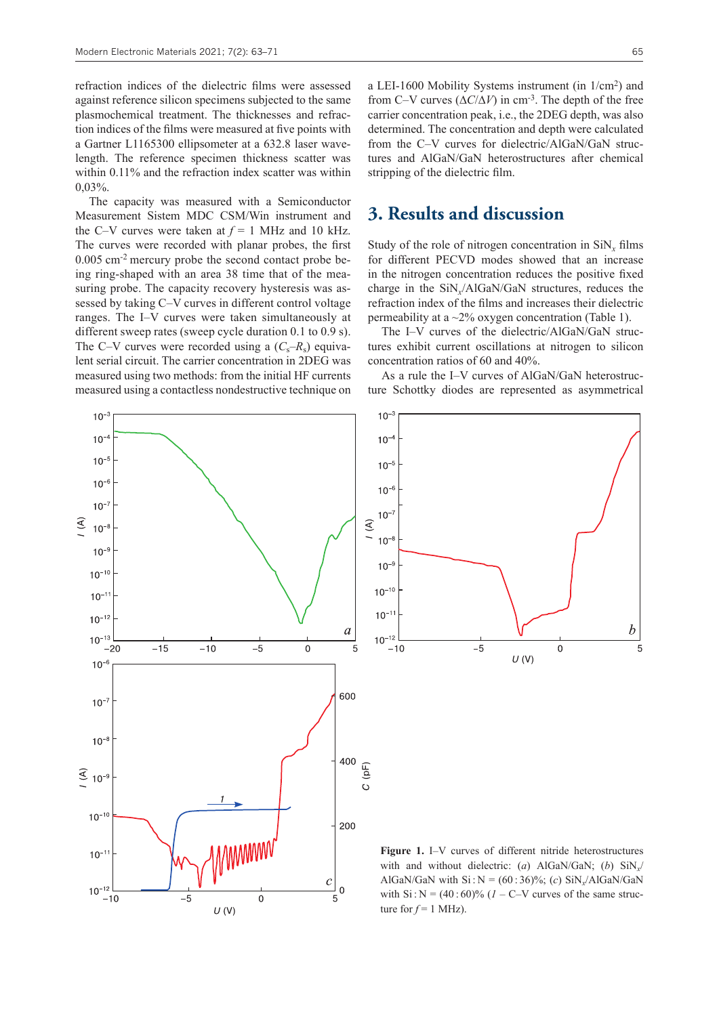refraction indices of the dielectric films were assessed against reference silicon specimens subjected to the same plasmochemical treatment. The thicknesses and refraction indices of the films were measured at five points with a Gartner L1165300 ellipsometer at a 632.8 laser wavelength. The reference specimen thickness scatter was within 0.11% and the refraction index scatter was within 0,03%.

The capacity was measured with a Semiconductor Measurement Sistem MDC CSM/Win instrument and the C–V curves were taken at  $f = 1$  MHz and 10 kHz. The curves were recorded with planar probes, the first 0.005 cm-2 mercury probe the second contact probe being ring-shaped with an area 38 time that of the measuring probe. The capacity recovery hysteresis was assessed by taking С–V curves in different control voltage ranges. The I–V curves were taken simultaneously at different sweep rates (sweep cycle duration 0.1 to 0.9 s). The C–V curves were recorded using a  $(C_s-R_s)$  equivalent serial circuit. The carrier concentration in 2DEG was measured using two methods: from the initial HF currents measured using a contactless nondestructive technique on

 $\mathfrak{S}$ 

 $10^{-12}$ 

 $-10$ 

 $-5$ 

 $U(V)$ 

 $10^{-}$  $10^{-4}$  $10^{-5}$  $10^{-6}$  $10^{-7}$  $\mathfrak{S}$  $10^{-}$  $10^{-9}$  $10^{-10}$  $10^{-1}$  $10^{-12}$  $\overline{a}$  $10^{-1}$  $\overline{-15}$  $-10$  $-5$  $\mathbf 0$ 5 -20  $10^{-6}$ 600  $10^{-}$  $10^{-}$ 400  $(pF)$  $\widehat{\mathcal{F}}$  10<sup>-9</sup>  $\overline{O}$  $10^{-10}$ 200  $10^{-1}$ 

 $\mathcal{C}_{0}^{(n)}$ 

5

 $\overline{0}$ 

 $\Omega$ 

a LEI-1600 Mobility Systems instrument (in 1/cm2) and from C–V curves  $(\Delta C/\Delta V)$  in cm<sup>-3</sup>. The depth of the free carrier concentration peak, i.e., the 2DEG depth, was also determined. The concentration and depth were calculated from the С–V curves for dielectric/AlGaN/GaN structures and AlGaN/GaN heterostructures after chemical stripping of the dielectric film.

#### **3. Results and discussion**

Study of the role of nitrogen concentration in SiN*x* films for different PECVD modes showed that an increase in the nitrogen concentration reduces the positive fixed charge in the SiN*x*/AlGaN/GaN structures, reduces the refraction index of the films and increases their dielectric permeability at a  $\sim$ 2% oxygen concentration (Table 1).

The I–V curves of the dielectric/AlGaN/GaN structures exhibit current oscillations at nitrogen to silicon concentration ratios of 60 and 40%.

As a rule the I–V curves of AlGaN/GaN heterostructure Schottky diodes are represented as asymmetrical



**Figure 1.** I–V curves of different nitride heterostructures with and without dielectric: (*a*) АlGaN/GaN; (*b*) SiN*x*/ AlGaN/GaN with  $Si : N = (60 : 36)\%$ ; (*c*)  $SiN$ <sub>x</sub>/AlGaN/GaN with  $Si: N = (40:60)\%$  (*1* – C–V curves of the same structure for  $f = 1$  MHz).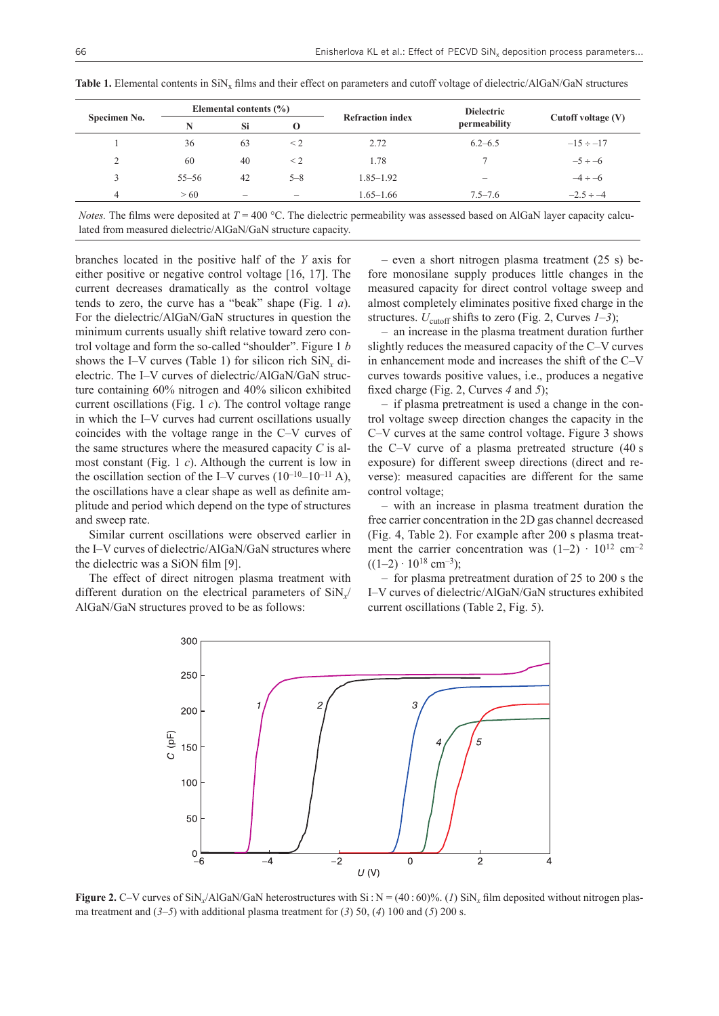| Specimen No.             | Elemental contents $(\% )$ |                          |                          |                         | <b>Dielectric</b> |                    |  |
|--------------------------|----------------------------|--------------------------|--------------------------|-------------------------|-------------------|--------------------|--|
|                          | N                          | Si                       | O                        | <b>Refraction index</b> | permeability      | Cutoff voltage (V) |  |
|                          | 36                         | 63                       | $\leq$ 2                 | 2.72                    | $6.2 - 6.5$       | $-15 \div -17$     |  |
| $\mathcal{L}$            | 60                         | 40                       | $\leq$ 2                 | 1.78                    |                   | $-5 \div -6$       |  |
|                          | $55 - 56$                  | 42                       | $5 - 8$                  | $1.85 - 1.92$           | -                 | $-4 \div -6$       |  |
| $\overline{\mathcal{A}}$ | > 60                       | $\overline{\phantom{m}}$ | $\overline{\phantom{a}}$ | $1.65 - 1.66$           | $7.5 - 7.6$       | $-2.5 \div -4$     |  |

Table 1. Elemental contents in SiN<sub>x</sub> films and their effect on parameters and cutoff voltage of dielectric/AlGaN/GaN structures

*Notes.* The films were deposited at  $T = 400 \degree C$ . The dielectric permeability was assessed based on AlGaN layer capacity calculated from measured dielectric/AlGaN/GaN structure capacity.

branches located in the positive half of the *Y* axis for either positive or negative control voltage [16, 17]. The current decreases dramatically as the control voltage tends to zero, the curve has a "beak" shape (Fig. 1 *a*). For the dielectric/AlGaN/GaN structures in question the minimum currents usually shift relative toward zero control voltage and form the so-called "shoulder". Figure 1 *b* shows the I–V curves (Table 1) for silicon rich  $\text{SiN}_x$  dielectric. The I–V curves of dielectric/AlGaN/GaN structure containing 60% nitrogen and 40% silicon exhibited current oscillations (Fig. 1 *c*). The control voltage range in which the I–V curves had current oscillations usually coincides with the voltage range in the С–V curves of the same structures where the measured capacity *C* is almost constant (Fig. 1 *c*). Although the current is low in the oscillation section of the I–V curves  $(10^{-10} - 10^{-11} A)$ , the oscillations have a clear shape as well as definite amplitude and period which depend on the type of structures and sweep rate.

Similar current oscillations were observed earlier in the I–V curves of dielectric/AlGaN/GaN structures where the dielectric was a SiON film [9].

The effect of direct nitrogen plasma treatment with different duration on the electrical parameters of SiN*x*/ AlGaN/GaN structures proved to be as follows:

– even a short nitrogen plasma treatment (25 s) before monosilane supply produces little changes in the measured capacity for direct control voltage sweep and almost completely eliminates positive fixed charge in the structures.  $U_{\text{cutoff}}$  shifts to zero (Fig. 2, Curves  $1-3$ );

– an increase in the plasma treatment duration further slightly reduces the measured capacity of the С–V curves in enhancement mode and increases the shift of the С–V curves towards positive values, i.e., produces a negative fixed charge (Fig. 2, Curves *4* and *5*);

– if plasma pretreatment is used a change in the control voltage sweep direction changes the capacity in the С–V curves at the same control voltage. Figure 3 shows the С–V curve of a plasma pretreated structure (40 s exposure) for different sweep directions (direct and reverse): measured capacities are different for the same control voltage;

– with an increase in plasma treatment duration the free carrier concentration in the 2D gas channel decreased (Fig. 4, Table 2). For example after 200 s plasma treatment the carrier concentration was  $(1-2) \cdot 10^{12}$  cm<sup>-2</sup>  $((1-2) \cdot 10^{18}$  cm<sup>-3</sup>);

– for plasma pretreatment duration of 25 to 200 s the I–V curves of dielectric/AlGaN/GaN structures exhibited current oscillations (Table 2, Fig. 5).



**Figure 2.** C–V curves of SiN<sub>y</sub>/AlGaN/GaN heterostructures with Si:  $N = (40:60)$ %. (*1*) SiN<sub>x</sub> film deposited without nitrogen plasma treatment and  $(3-5)$  with additional plasma treatment for  $(3)$  50,  $(4)$  100 and  $(5)$  200 s.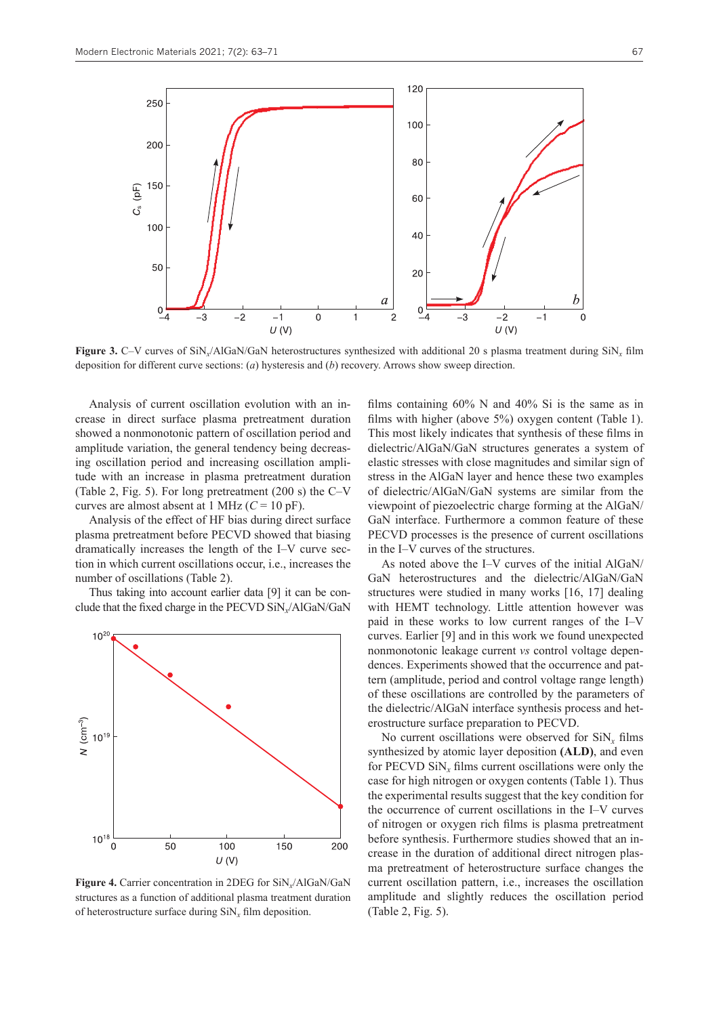

**Figure 3.** С–V curves of SiN*x*/AlGaN/GaN heterostructures synthesized with additional 20 s plasma treatment during SiN*x* film deposition for different curve sections: (*a*) hysteresis and (*b*) recovery. Arrows show sweep direction.

Analysis of current oscillation evolution with an increase in direct surface plasma pretreatment duration showed a nonmonotonic pattern of oscillation period and amplitude variation, the general tendency being decreasing oscillation period and increasing oscillation amplitude with an increase in plasma pretreatment duration (Table 2, Fig. 5). For long pretreatment (200 s) the С–V curves are almost absent at 1 MHz  $(C = 10 \text{ pF})$ .

Analysis of the effect of HF bias during direct surface plasma pretreatment before PECVD showed that biasing dramatically increases the length of the I–V curve section in which current oscillations occur, i.e., increases the number of oscillations (Table 2).

Thus taking into account earlier data [9] it can be conclude that the fixed charge in the PECVD SiN*x*/AlGaN/GaN



**Figure 4.** Carrier concentration in 2DEG for SiN*x*/AlGaN/GaN structures as a function of additional plasma treatment duration of heterostructure surface during SiN*x* film deposition.

films containing 60% N and 40% Si is the same as in films with higher (above 5%) oxygen content (Table 1). This most likely indicates that synthesis of these films in dielectric/AlGaN/GaN structures generates a system of elastic stresses with close magnitudes and similar sign of stress in the AlGaN layer and hence these two examples of dielectric/AlGaN/GaN systems are similar from the viewpoint of piezoelectric charge forming at the AlGaN/ GaN interface. Furthermore a common feature of these PECVD processes is the presence of current oscillations in the I–V curves of the structures.

As noted above the I–V curves of the initial AlGaN/ GaN heterostructures and the dielectric/AlGaN/GaN structures were studied in many works [16, 17] dealing with HEMT technology. Little attention however was paid in these works to low current ranges of the I–V curves. Earlier [9] and in this work we found unexpected nonmonotonic leakage current *vs* control voltage dependences. Experiments showed that the occurrence and pattern (amplitude, period and control voltage range length) of these oscillations are controlled by the parameters of the dielectric/AlGaN interface synthesis process and heterostructure surface preparation to PECVD.

No current oscillations were observed for SiN*x* films synthesized by atomic layer deposition **(ALD)**, and even for PECVD  $\sin x$  films current oscillations were only the case for high nitrogen or oxygen contents (Table 1). Thus the experimental results suggest that the key condition for the occurrence of current oscillations in the I–V curves of nitrogen or oxygen rich films is plasma pretreatment before synthesis. Furthermore studies showed that an increase in the duration of additional direct nitrogen plasma pretreatment of heterostructure surface changes the current oscillation pattern, i.e., increases the oscillation amplitude and slightly reduces the oscillation period (Table 2, Fig. 5).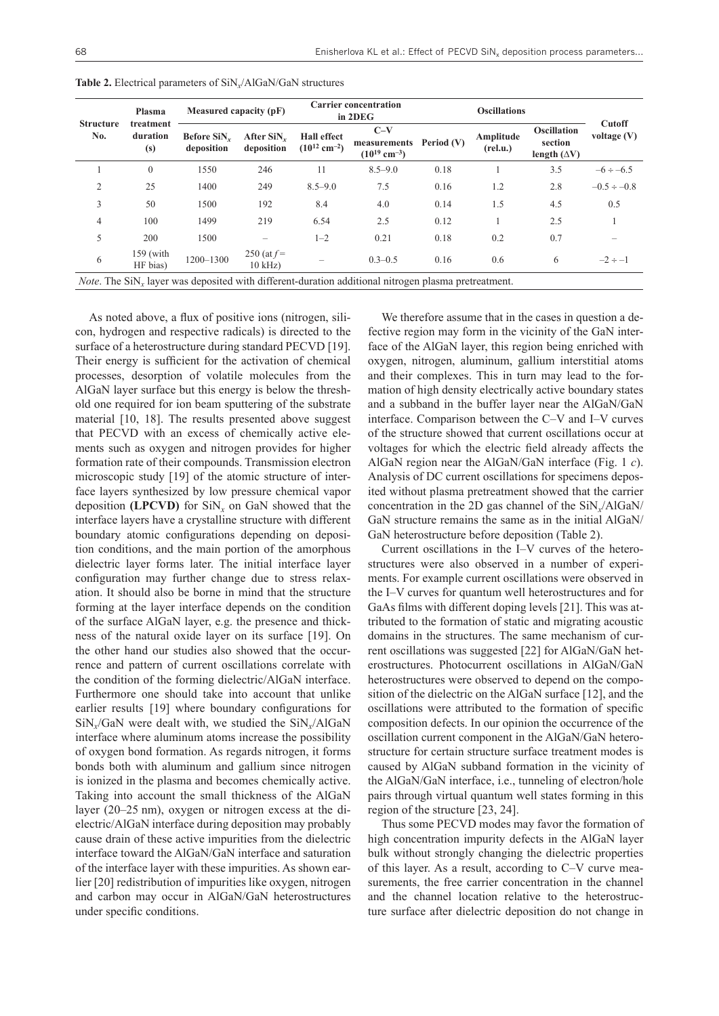| <b>Structure</b><br>No.                                                                                     | Plasma<br>treatment<br>duration<br>(s) | Measured capacity (pF)    |                                    | <b>Carrier concentration</b><br>in 2DEG             |                                                        | <b>Oscillations</b> |                       |                                                      |                         |  |  |
|-------------------------------------------------------------------------------------------------------------|----------------------------------------|---------------------------|------------------------------------|-----------------------------------------------------|--------------------------------------------------------|---------------------|-----------------------|------------------------------------------------------|-------------------------|--|--|
|                                                                                                             |                                        | Before SiN.<br>deposition | After $\text{SiN}_r$<br>deposition | <b>Hall</b> effect<br>$(10^{12}$ cm <sup>-2</sup> ) | $C-V$<br>measurements<br>$(10^{19}$ cm <sup>-3</sup> ) | Period (V)          | Amplitude<br>(rel.u.) | <b>Oscillation</b><br>section<br>length $(\Delta V)$ | Cutoff<br>voltage $(V)$ |  |  |
|                                                                                                             | $\Omega$                               | 1550                      | 246                                | 11                                                  | $8.5 - 9.0$                                            | 0.18                |                       | 3.5                                                  | $-6 \div -6.5$          |  |  |
| 2                                                                                                           | 25                                     | 1400                      | 249                                | $8.5 - 9.0$                                         | 7.5                                                    | 0.16                | 1.2                   | 2.8                                                  | $-0.5 \div -0.8$        |  |  |
| 3                                                                                                           | 50                                     | 1500                      | 192                                | 8.4                                                 | 4.0                                                    | 0.14                | 1.5                   | 4.5                                                  | 0.5                     |  |  |
| 4                                                                                                           | 100                                    | 1499                      | 219                                | 6.54                                                | 2.5                                                    | 0.12                |                       | 2.5                                                  |                         |  |  |
| 5                                                                                                           | 200                                    | 1500                      |                                    | $1 - 2$                                             | 0.21                                                   | 0.18                | 0.2                   | 0.7                                                  |                         |  |  |
| 6                                                                                                           | $159$ (with<br>HF bias)                | 1200-1300                 | 250 (at $f =$<br>$10$ kHz)         | -                                                   | $0.3 - 0.5$                                            | 0.16                | 0.6                   | 6                                                    | $-2 \div -1$            |  |  |
| <i>Note</i> . The SiN, layer was deposited with different-duration additional nitrogen plasma pretreatment. |                                        |                           |                                    |                                                     |                                                        |                     |                       |                                                      |                         |  |  |

**Table 2.** Electrical parameters of SiN*x*/AlGaN/GaN structures

As noted above, a flux of positive ions (nitrogen, silicon, hydrogen and respective radicals) is directed to the surface of a heterostructure during standard PECVD [19]. Their energy is sufficient for the activation of chemical processes, desorption of volatile molecules from the AlGaN layer surface but this energy is below the threshold one required for ion beam sputtering of the substrate material [10, 18]. The results presented above suggest that PECVD with an excess of chemically active elements such as oxygen and nitrogen provides for higher formation rate of their compounds. Transmission electron microscopic study [19] of the atomic structure of interface layers synthesized by low pressure chemical vapor deposition **(LPCVD)** for  $\text{SiN}_x$  on GaN showed that the interface layers have a crystalline structure with different boundary atomic configurations depending on deposition conditions, and the main portion of the amorphous dielectric layer forms later. The initial interface layer configuration may further change due to stress relaxation. It should also be borne in mind that the structure forming at the layer interface depends on the condition of the surface AlGaN layer, e.g. the presence and thickness of the natural oxide layer on its surface [19]. On the other hand our studies also showed that the occurrence and pattern of current oscillations correlate with the condition of the forming dielectric/AlGaN interface. Furthermore one should take into account that unlike earlier results [19] where boundary configurations for SiN*x*/GaN were dealt with, we studied the SiN*x*/АlGaN interface where aluminum atoms increase the possibility of oxygen bond formation. As regards nitrogen, it forms bonds both with aluminum and gallium since nitrogen is ionized in the plasma and becomes chemically active. Taking into account the small thickness of the AlGaN layer (20–25 nm), oxygen or nitrogen excess at the dielectric/AlGaN interface during deposition may probably cause drain of these active impurities from the dielectric interface toward the AlGaN/GaN interface and saturation of the interface layer with these impurities. As shown earlier [20] redistribution of impurities like oxygen, nitrogen and carbon may occur in AlGaN/GaN heterostructures under specific conditions.

We therefore assume that in the cases in question a defective region may form in the vicinity of the GaN interface of the AlGaN layer, this region being enriched with oxygen, nitrogen, aluminum, gallium interstitial atoms and their complexes. This in turn may lead to the formation of high density electrically active boundary states and a subband in the buffer layer near the AlGаN/GаN interface. Comparison between the C–V and I–V curves of the structure showed that current oscillations occur at voltages for which the electric field already affects the AlGaN region near the AlGaN/GaN interface (Fig. 1 *c*). Analysis of DC current oscillations for specimens deposited without plasma pretreatment showed that the carrier concentration in the 2D gas channel of the SiN*x*/AlGaN/ GaN structure remains the same as in the initial AlGaN/ GaN heterostructure before deposition (Table 2).

Current oscillations in the I–V curves of the heterostructures were also observed in a number of experiments. For example current oscillations were observed in the I–V curves for quantum well heterostructures and for GaAs films with different doping levels [21]. This was attributed to the formation of static and migrating acoustic domains in the structures. The same mechanism of current oscillations was suggested [22] for AlGaN/GaN heterostructures. Photocurrent oscillations in AlGaN/GaN heterostructures were observed to depend on the composition of the dielectric on the AlGaN surface [12], and the oscillations were attributed to the formation of specific composition defects. In our opinion the occurrence of the oscillation current component in the AlGaN/GaN heterostructure for certain structure surface treatment modes is caused by AlGaN subband formation in the vicinity of the AlGaN/GaN interface, i.e., tunneling of electron/hole pairs through virtual quantum well states forming in this region of the structure [23, 24].

Thus some PECVD modes may favor the formation of high concentration impurity defects in the AlGaN layer bulk without strongly changing the dielectric properties of this layer. As a result, according to C–V curve measurements, the free carrier concentration in the channel and the channel location relative to the heterostructure surface after dielectric deposition do not change in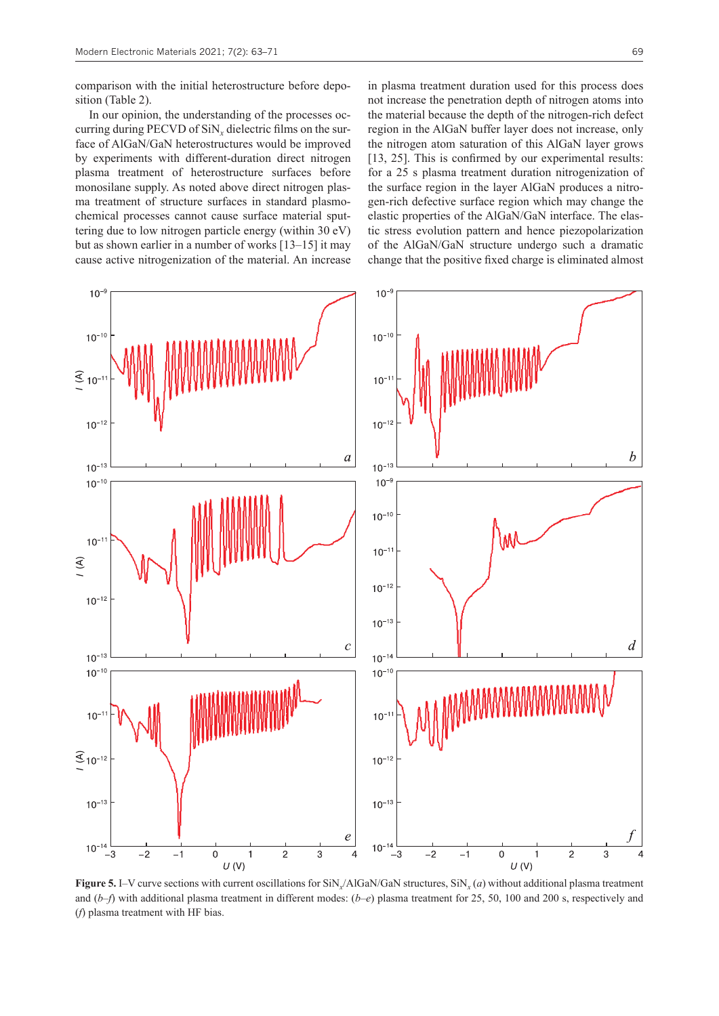comparison with the initial heterostructure before deposition (Table 2).

In our opinion, the understanding of the processes occurring during PECVD of SiN*x* dielectric films on the surface of AlGaN/GaN heterostructures would be improved by experiments with different-duration direct nitrogen plasma treatment of heterostructure surfaces before monosilane supply. As noted above direct nitrogen plasma treatment of structure surfaces in standard plasmochemical processes cannot cause surface material sputtering due to low nitrogen particle energy (within 30 eV) but as shown earlier in a number of works [13–15] it may cause active nitrogenization of the material. An increase

 $10^{-9}$  $10^{-}$  $10^{-10}$  $10^{-10}$  $\widehat{\mathcal{F}}_{10}$  $10$  $10^{-12}$  $10^{-12}$  $\overline{a}$  $10^{-1}$  $10^{-1}$  $10^{-10}$  $10^{-5}$  $10^{-10}$  $10<sup>-1</sup>$  $10^{-1}$  $(4)$  $10^{-12}$  $10^{-12}$  $10^{-13}$  $\epsilon$  $10^{-1}$  $10<sup>1</sup>$  $10^{-10}$  $10^{-10}$  $10<sup>1</sup>$  $10<sup>-</sup>$  $\mathfrak{S}_{10^{-12}}$  $10^{-12}$  $10^{-13}$  $10^{-13}$  $\epsilon$  $10<sup>°</sup>$  $10^{-1}$ .<br>-3  $-2$  $-1$  $\mathbf 0$  $\overline{2}$ 3  $\overline{4}$ -3  $\overline{0}$  $\overline{2}$ 3  $\mathbf{1}$  $U(V)$  $U(V)$ 

**Figure 5.** I–V curve sections with current oscillations for SiN<sub>x</sub>/AlGaN/GaN structures, SiN<sub>x</sub> (*a*) without additional plasma treatment and (*b–f*) with additional plasma treatment in different modes: (*b–e*) plasma treatment for 25, 50, 100 and 200 s, respectively and (*f*) plasma treatment with HF bias.

in plasma treatment duration used for this process does not increase the penetration depth of nitrogen atoms into the material because the depth of the nitrogen-rich defect region in the AlGaN buffer layer does not increase, only the nitrogen atom saturation of this AlGaN layer grows [13, 25]. This is confirmed by our experimental results: for a 25 s plasma treatment duration nitrogenization of the surface region in the layer AlGaN produces a nitrogen-rich defective surface region which may change the elastic properties of the AlGaN/GaN interface. The elastic stress evolution pattern and hence piezopolarization of the AlGaN/GaN structure undergo such a dramatic change that the positive fixed charge is eliminated almost

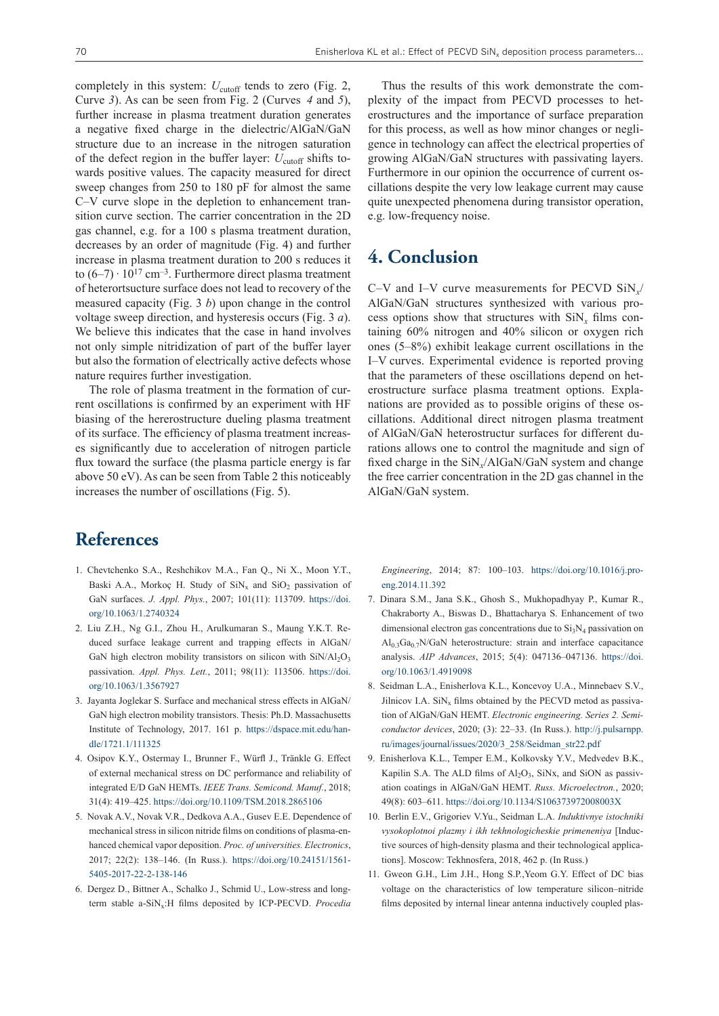completely in this system:  $U_{\text{cutoff}}$  tends to zero (Fig. 2, Curve *3*). As can be seen from Fig. 2 (Curves *4* and *5*), further increase in plasma treatment duration generates a negative fixed charge in the dielectric/AlGaN/GaN structure due to an increase in the nitrogen saturation of the defect region in the buffer layer:  $U_{\text{cutoff}}$  shifts towards positive values. The capacity measured for direct sweep changes from 250 to 180 pF for almost the same С–V curve slope in the depletion to enhancement transition curve section. The carrier concentration in the 2D gas channel, e.g. for a 100 s plasma treatment duration, decreases by an order of magnitude (Fig. 4) and further increase in plasma treatment duration to 200 s reduces it to  $(6-7) \cdot 10^{17}$  cm<sup>-3</sup>. Furthermore direct plasma treatment of heterortsucture surface does not lead to recovery of the measured capacity (Fig. 3 *b*) upon change in the control voltage sweep direction, and hysteresis occurs (Fig. 3 *a*). We believe this indicates that the case in hand involves not only simple nitridization of part of the buffer layer but also the formation of electrically active defects whose nature requires further investigation.

The role of plasma treatment in the formation of current oscillations is confirmed by an experiment with HF biasing of the hererostructure dueling plasma treatment of its surface. The efficiency of plasma treatment increases significantly due to acceleration of nitrogen particle flux toward the surface (the plasma particle energy is far above 50 eV). As can be seen from Table 2 this noticeably increases the number of oscillations (Fig. 5).

Thus the results of this work demonstrate the complexity of the impact from PECVD processes to heterostructures and the importance of surface preparation for this process, as well as how minor changes or negligence in technology can affect the electrical properties of growing AlGaN/GaN structures with passivating layers. Furthermore in our opinion the occurrence of current oscillations despite the very low leakage current may cause quite unexpected phenomena during transistor operation, e.g. low-frequency noise.

#### **4. Conclusion**

С–V and I–V curve measurements for PECVD SiN*x*/ AlGaN/GaN structures synthesized with various process options show that structures with SiN*x* films containing 60% nitrogen and 40% silicon or oxygen rich ones (5–8%) exhibit leakage current oscillations in the I–V curves. Experimental evidence is reported proving that the parameters of these oscillations depend on heterostructure surface plasma treatment options. Explanations are provided as to possible origins of these oscillations. Additional direct nitrogen plasma treatment of AlGaN/GaN heterostructur surfaces for different durations allows one to control the magnitude and sign of fixed charge in the SiN*x*/AlGaN/GaN system and change the free carrier concentration in the 2D gas channel in the AlGaN/GaN system.

#### **References**

- 1. Chevtchenko S.A., Reshchikov M.A., Fan Q., Ni X., Moon Y.T., Baski A.A., Morkoç H. Study of  $\text{SiN}_x$  and  $\text{SiO}_2$  passivation of GaN surfaces. *J. Appl. Phys.*, 2007; 101(11): 113709. [https://doi.](https://doi.org/10.1063/1.2740324) [org/10.1063/1.2740324](https://doi.org/10.1063/1.2740324)
- 2. Liu Z.H., Ng G.I., Zhou H., Arulkumaran S., Maung Y.K.T. Reduced surface leakage current and trapping effects in AlGaN/ GaN high electron mobility transistors on silicon with  $\text{SiN/Al}_2\text{O}_3$ passivation. *Appl. Phys. Lett.*, 2011; 98(11): 113506. [https://doi.](https://doi.org/10.1063/1.3567927) [org/10.1063/1.3567927](https://doi.org/10.1063/1.3567927)
- 3. Jayanta Joglekar S. Surface and mechanical stress effects in AlGaN/ GaN high electron mobility transistors. Thesis: Ph.D. Massachusetts Institute of Technology, 2017. 161 p. [https://dspace.mit.edu/han](https://dspace.mit.edu/handle/1721.1/111325)[dle/1721.1/111325](https://dspace.mit.edu/handle/1721.1/111325)
- 4. Osipov K.Y., Ostermay I., Brunner F., Würfl J., Tränkle G. Effect of external mechanical stress on DC performance and reliability of integrated E/D GaN HEMTs. *IEEE Trans. Semicond. Manuf.*, 2018; 31(4): 419–425.<https://doi.org/10.1109/TSM.2018.2865106>
- 5. Novak A.V., Novak V.R., Dedkova A.A., Gusev E.E. Dependence of mechanical stress in silicon nitride films on conditions of plasma-enhanced chemical vapor deposition. *Proc. of universities. Electronics*, 2017; 22(2): 138–146. (In Russ.). [https://doi.org/10.24151/1561-](https://doi.org/10.24151/1561-5405-2017-22-2-138-146) [5405-2017-22-2-138-146](https://doi.org/10.24151/1561-5405-2017-22-2-138-146)
- 6. Dergez D., Bittner A., Schalko J., Schmid U., Low-stress and longterm stable a-SiNx:H films deposited by ICP-PECVD. *Procedia*

*Engineering*, 2014; 87: 100–103. [https://doi.org/10.1016/j.pro](https://doi.org/10.1016/j.proeng.2014.11.392)[eng.2014.11.392](https://doi.org/10.1016/j.proeng.2014.11.392)

- 7. Dinara S.M., Jana S.K., Ghosh S., Mukhopadhyay P., Kumar R., Chakraborty A., Biswas D., Bhattacharya S. Enhancement of two dimensional electron gas concentrations due to  $Si<sub>3</sub>N<sub>4</sub>$  passivation on  $Al<sub>0.3</sub>Ga<sub>0.7</sub>N/GaN$  heterostructure: strain and interface capacitance analysis. *AIP Advances*, 2015; 5(4): 047136–047136. [https://doi.](https://doi.org/10.1063/1.4919098) [org/10.1063/1.4919098](https://doi.org/10.1063/1.4919098)
- 8. Seidman L.A., Enisherlova K.L., Koncevoy U.A., Minnebaev S.V., Jilnicov I.A.  $\text{SiN}_x$  films obtained by the PECVD metod as passivation of AlGaN/GaN HEMT. *Electronic engineering. Series 2. Semiconductor devices*, 2020; (3): 22–33. (In Russ.). [http://j.pulsarnpp.](http://j.pulsarnpp.ru/images/journal/issues/2020/3_258/Seidman_str22.pdf) [ru/images/journal/issues/2020/3\\_258/Seidman\\_str22.pdf](http://j.pulsarnpp.ru/images/journal/issues/2020/3_258/Seidman_str22.pdf)
- 9. Enisherlova K.L., Temper E.M., Kolkovsky Y.V., Medvedev B.K., Kapilin S.A. The ALD films of  $Al_2O_3$ , SiNx, and SiON as passivation coatings in AlGaN/GaN HEMT. *Russ. Microelectron.*, 2020; 49(8): 603–611.<https://doi.org/10.1134/S106373972008003X>
- 10. Berlin E.V., Grigoriev V.Yu., Seidman L.A. *Induktivnye istochniki vysokoplotnoi plazmy i ikh tekhnologicheskie primeneniya* [Inductive sources of high-density plasma and their technological applications]. Moscow: Tekhnosfera, 2018, 462 p. (In Russ.)
- 11. Gweon G.H., Lim J.H., Hong S.P.,Yeom G.Y. Effect of DC bias voltage on the characteristics of low temperature silicon–nitride films deposited by internal linear antenna inductively coupled plas-